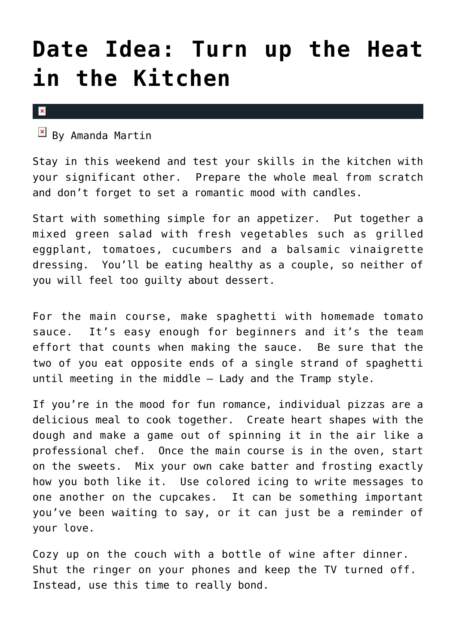## **[Date Idea: Turn up the Heat](https://cupidspulse.com/23129/weekend-date-idea-romantic-meals-to-cook-as-a-couple/) [in the Kitchen](https://cupidspulse.com/23129/weekend-date-idea-romantic-meals-to-cook-as-a-couple/)**

## $\vert \mathbf{x} \vert$

 $\mathbb{E}$  By Amanda Martin

Stay in this weekend and test your skills in the kitchen with your significant other. Prepare the whole meal from scratch and don't forget to set a romantic mood with candles.

Start with something simple for an appetizer. Put together a mixed green salad with fresh vegetables such as grilled eggplant, tomatoes, cucumbers and a balsamic vinaigrette dressing. You'll be eating healthy as a couple, so neither of you will feel too guilty about dessert.

For the main course, make spaghetti with homemade tomato sauce. It's easy enough for beginners and it's the team effort that counts when making the sauce. Be sure that the two of you eat opposite ends of a single strand of spaghetti until meeting in the middle — Lady and the Tramp style.

If you're in the mood for fun romance, individual pizzas are a delicious meal to cook together. Create heart shapes with the dough and make a game out of spinning it in the air like a professional chef. Once the main course is in the oven, start on the sweets. Mix your own cake batter and frosting exactly how you both like it. Use colored icing to write messages to one another on the cupcakes. It can be something important you've been waiting to say, or it can just be a reminder of your love.

Cozy up on the couch with a bottle of wine after dinner. Shut the ringer on your phones and keep the TV turned off. Instead, use this time to really bond.